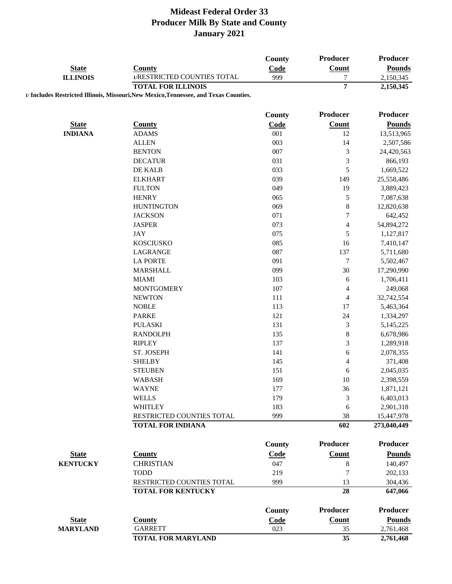|                                 |                                                                                       | County | Producer         | Producer        |
|---------------------------------|---------------------------------------------------------------------------------------|--------|------------------|-----------------|
| <b>State</b><br><b>ILLINOIS</b> | <b>County</b>                                                                         | Code   | <b>Count</b>     | <b>Pounds</b>   |
|                                 | 1/RESTRICTED COUNTIES TOTAL                                                           | 999    | $\boldsymbol{7}$ | 2,150,345       |
|                                 | <b>TOTAL FOR ILLINOIS</b>                                                             |        | $\overline{7}$   | 2,150,345       |
|                                 | 1/ Includes Restricted Illinois, Missouri, New Mexico, Tennessee, and Texas Counties. |        |                  |                 |
|                                 |                                                                                       | County | Producer         | <b>Producer</b> |
| <b>State</b>                    | <b>County</b>                                                                         | Code   | Count            | <b>Pounds</b>   |
| <b>INDIANA</b>                  | <b>ADAMS</b>                                                                          | 001    | 12               | 13,513,965      |
|                                 | <b>ALLEN</b>                                                                          | 003    | 14               | 2,507,586       |
|                                 | <b>BENTON</b>                                                                         | 007    | $\mathfrak{Z}$   | 24,420,563      |
|                                 | <b>DECATUR</b>                                                                        | 031    | $\mathfrak 3$    | 866,193         |
|                                 | DE KALB                                                                               | 033    | 5                | 1,669,522       |
|                                 | <b>ELKHART</b>                                                                        | 039    | 149              | 25,558,486      |
|                                 | <b>FULTON</b>                                                                         | 049    | 19               | 3,889,423       |
|                                 |                                                                                       |        |                  |                 |
|                                 | <b>HENRY</b>                                                                          | 065    | $\mathfrak s$    | 7,087,638       |
|                                 | <b>HUNTINGTON</b>                                                                     | 069    | $\,$ $\,$        | 12,820,638      |
|                                 | <b>JACKSON</b>                                                                        | 071    | $\boldsymbol{7}$ | 642,452         |
|                                 | <b>JASPER</b>                                                                         | 073    | $\overline{4}$   | 54,894,272      |
|                                 | <b>JAY</b>                                                                            | 075    | $\sqrt{5}$       | 1,127,817       |
|                                 | <b>KOSCIUSKO</b>                                                                      | 085    | 16               | 7,410,147       |
|                                 | LAGRANGE                                                                              | 087    | 137              | 5,711,680       |
|                                 | <b>LA PORTE</b>                                                                       | 091    | $\tau$           | 5,502,467       |
|                                 | <b>MARSHALL</b>                                                                       | 099    | 30               | 17,290,990      |
|                                 | <b>MIAMI</b>                                                                          | 103    | 6                | 1,706,411       |
|                                 | <b>MONTGOMERY</b>                                                                     | 107    | 4                | 249,068         |
|                                 | <b>NEWTON</b>                                                                         | 111    | $\overline{4}$   | 32,742,554      |
|                                 | <b>NOBLE</b>                                                                          | 113    | 17               | 5,463,364       |
|                                 | <b>PARKE</b>                                                                          | 121    | 24               | 1,334,297       |
|                                 | <b>PULASKI</b>                                                                        | 131    | $\mathfrak{Z}$   | 5,145,225       |
|                                 | <b>RANDOLPH</b>                                                                       | 135    | 8                | 6,678,986       |
|                                 | <b>RIPLEY</b>                                                                         | 137    | $\mathfrak{Z}$   | 1,289,918       |
|                                 | ST. JOSEPH                                                                            | 141    | 6                | 2,078,355       |
|                                 | <b>SHELBY</b>                                                                         | 145    | 4                | 371,408         |
|                                 | <b>STEUBEN</b>                                                                        | 151    | 6                | 2,045,035       |
|                                 | <b>WABASH</b>                                                                         | 169    | 10               | 2,398,559       |
|                                 | <b>WAYNE</b>                                                                          | 177    | 36               | 1,871,121       |
|                                 | <b>WELLS</b>                                                                          | 179    | 3                | 6,403,013       |
|                                 | <b>WHITLEY</b>                                                                        | 183    | 6                | 2,901,318       |
|                                 | RESTRICTED COUNTIES TOTAL                                                             | 999    | 38               | 15,447,978      |
|                                 | <b>TOTAL FOR INDIANA</b>                                                              |        | 602              | 273,040,449     |
|                                 |                                                                                       |        |                  |                 |
|                                 |                                                                                       | County | Producer         | <b>Producer</b> |
| <b>State</b>                    | <b>County</b>                                                                         | Code   | <b>Count</b>     | <b>Pounds</b>   |
| <b>KENTUCKY</b>                 | <b>CHRISTIAN</b>                                                                      | 047    | $\,8\,$          | 140,497         |
|                                 | <b>TODD</b>                                                                           | 219    | $\overline{7}$   | 202,133         |
|                                 | RESTRICTED COUNTIES TOTAL                                                             | 999    | 13               | 304,436         |
|                                 | <b>TOTAL FOR KENTUCKY</b>                                                             |        | 28               | 647,066         |
|                                 |                                                                                       | County | <b>Producer</b>  | <b>Producer</b> |
| <b>State</b>                    | <b>County</b>                                                                         | Code   | Count            | <b>Pounds</b>   |
| <b>MARYLAND</b>                 | <b>GARRETT</b>                                                                        | 023    | 35               | 2,761,468       |
|                                 | <b>TOTAL FOR MARYLAND</b>                                                             |        | 35               | 2,761,468       |
|                                 |                                                                                       |        |                  |                 |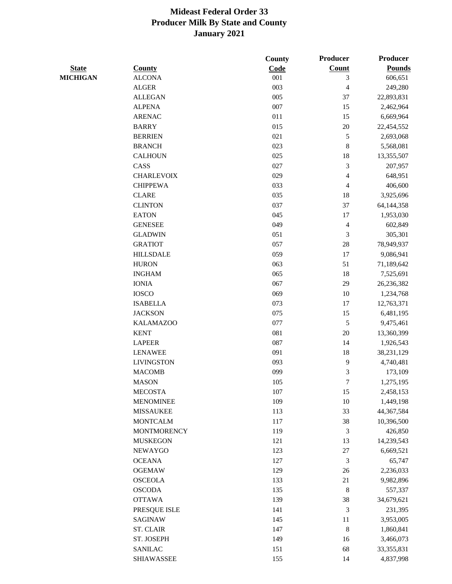|                 |                    | County | Producer    | <b>Producer</b> |
|-----------------|--------------------|--------|-------------|-----------------|
| <b>State</b>    | <b>County</b>      | Code   | Count       | <b>Pounds</b>   |
| <b>MICHIGAN</b> | <b>ALCONA</b>      | 001    | 3           | 606,651         |
|                 | <b>ALGER</b>       | 003    | 4           | 249,280         |
|                 | <b>ALLEGAN</b>     | 005    | 37          | 22,893,831      |
|                 | <b>ALPENA</b>      | 007    | 15          | 2,462,964       |
|                 | <b>ARENAC</b>      | 011    | 15          | 6,669,964       |
|                 | <b>BARRY</b>       | 015    | $20\,$      | 22,454,552      |
|                 | <b>BERRIEN</b>     | 021    | 5           | 2,693,068       |
|                 | <b>BRANCH</b>      | 023    | $\,$ 8 $\,$ | 5,568,081       |
|                 | <b>CALHOUN</b>     | 025    | 18          | 13,355,507      |
|                 | CASS               | 027    | 3           | 207,957         |
|                 | <b>CHARLEVOIX</b>  | 029    | 4           | 648,951         |
|                 | <b>CHIPPEWA</b>    | 033    | 4           | 406,600         |
|                 | <b>CLARE</b>       | 035    | 18          | 3,925,696       |
|                 | <b>CLINTON</b>     | 037    | 37          | 64, 144, 358    |
|                 | <b>EATON</b>       | 045    | 17          | 1,953,030       |
|                 | <b>GENESEE</b>     | 049    | 4           | 602,849         |
|                 | <b>GLADWIN</b>     | 051    | 3           | 305,301         |
|                 | <b>GRATIOT</b>     | 057    | $28\,$      | 78,949,937      |
|                 | <b>HILLSDALE</b>   | 059    | 17          | 9,086,941       |
|                 | <b>HURON</b>       | 063    | 51          | 71,189,642      |
|                 | <b>INGHAM</b>      | 065    | 18          | 7,525,691       |
|                 | <b>IONIA</b>       | 067    | 29          | 26,236,382      |
|                 | <b>IOSCO</b>       | 069    | 10          | 1,234,768       |
|                 | <b>ISABELLA</b>    | 073    | 17          | 12,763,371      |
|                 | <b>JACKSON</b>     | 075    | 15          | 6,481,195       |
|                 | <b>KALAMAZOO</b>   | 077    | 5           | 9,475,461       |
|                 | <b>KENT</b>        | 081    | 20          | 13,360,399      |
|                 | <b>LAPEER</b>      | 087    | 14          | 1,926,543       |
|                 | <b>LENAWEE</b>     | 091    | 18          | 38,231,129      |
|                 | <b>LIVINGSTON</b>  | 093    | 9           | 4,740,481       |
|                 | <b>MACOMB</b>      | 099    | 3           | 173,109         |
|                 | <b>MASON</b>       | 105    | 7           | 1,275,195       |
|                 | <b>MECOSTA</b>     | 107    | 15          | 2,458,153       |
|                 | <b>MENOMINEE</b>   | 109    | $10\,$      | 1,449,198       |
|                 | <b>MISSAUKEE</b>   | 113    | 33          | 44,367,584      |
|                 | <b>MONTCALM</b>    | 117    | 38          | 10,396,500      |
|                 | <b>MONTMORENCY</b> | 119    | 3           | 426,850         |
|                 | <b>MUSKEGON</b>    | 121    | 13          | 14,239,543      |
|                 | <b>NEWAYGO</b>     | 123    | $27\,$      | 6,669,521       |
|                 | <b>OCEANA</b>      | 127    | 3           | 65,747          |
|                 | <b>OGEMAW</b>      | 129    | $26\,$      | 2,236,033       |
|                 | <b>OSCEOLA</b>     | 133    | 21          | 9,982,896       |
|                 | <b>OSCODA</b>      | 135    | $\,8\,$     | 557,337         |
|                 | <b>OTTAWA</b>      | 139    | 38          | 34,679,621      |
|                 | PRESQUE ISLE       | 141    | 3           | 231,395         |
|                 | SAGINAW            | 145    | 11          | 3,953,005       |
|                 | <b>ST. CLAIR</b>   | 147    | $\,8\,$     | 1,860,841       |
|                 | ST. JOSEPH         | 149    | 16          | 3,466,073       |
|                 | <b>SANILAC</b>     | 151    | 68          | 33, 355, 831    |
|                 | SHIAWASSEE         | 155    | 14          | 4,837,998       |
|                 |                    |        |             |                 |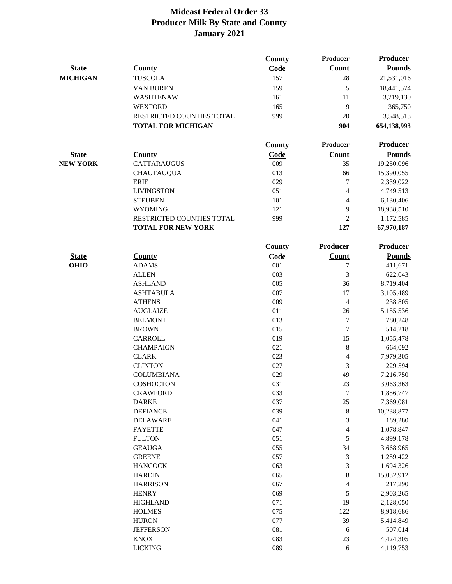|                 |                           | <b>County</b> | <b>Producer</b>          | <b>Producer</b> |
|-----------------|---------------------------|---------------|--------------------------|-----------------|
| <b>State</b>    | County                    | Code          | Count                    | <b>Pounds</b>   |
| <b>MICHIGAN</b> | <b>TUSCOLA</b>            | 157           | 28                       | 21,531,016      |
|                 | <b>VAN BUREN</b>          | 159           | 5                        | 18,441,574      |
|                 | WASHTENAW                 | 161           | 11                       | 3,219,130       |
|                 | <b>WEXFORD</b>            | 165           | 9                        | 365,750         |
|                 | RESTRICTED COUNTIES TOTAL | 999           | 20                       | 3,548,513       |
|                 | <b>TOTAL FOR MICHIGAN</b> |               | 904                      | 654,138,993     |
|                 |                           |               |                          |                 |
|                 |                           | County        | Producer                 | Producer        |
| <b>State</b>    | <b>County</b>             | Code          | <b>Count</b>             | <b>Pounds</b>   |
| <b>NEW YORK</b> | <b>CATTARAUGUS</b>        | 009           | 35                       | 19,250,096      |
|                 | <b>CHAUTAUQUA</b>         | 013           | 66                       | 15,390,055      |
|                 | <b>ERIE</b>               | 029           | 7                        | 2,339,022       |
|                 | <b>LIVINGSTON</b>         | 051           | 4                        | 4,749,513       |
|                 | <b>STEUBEN</b>            | 101           | 4                        | 6,130,406       |
|                 | <b>WYOMING</b>            | 121           | 9                        | 18,938,510      |
|                 | RESTRICTED COUNTIES TOTAL | 999           | $\overline{c}$           | 1,172,585       |
|                 | <b>TOTAL FOR NEW YORK</b> |               | $\overline{127}$         | 67,970,187      |
|                 |                           | County        | Producer                 | <b>Producer</b> |
| <b>State</b>    | <b>County</b>             | Code          | <b>Count</b>             | <b>Pounds</b>   |
| <b>OHIO</b>     | <b>ADAMS</b>              | 001           | 7                        | 411,671         |
|                 | <b>ALLEN</b>              | 003           | 3                        | 622,043         |
|                 | <b>ASHLAND</b>            | 005           | 36                       | 8,719,404       |
|                 | <b>ASHTABULA</b>          | 007           | 17                       | 3,105,489       |
|                 | <b>ATHENS</b>             | 009           | 4                        | 238,805         |
|                 | <b>AUGLAIZE</b>           | 011           | 26                       | 5,155,536       |
|                 | <b>BELMONT</b>            | 013           | 7                        | 780,248         |
|                 | <b>BROWN</b>              | 015           | $\boldsymbol{7}$         | 514,218         |
|                 | CARROLL                   | 019           | 15                       | 1,055,478       |
|                 | <b>CHAMPAIGN</b>          | 021           | $\,8\,$                  | 664,092         |
|                 | <b>CLARK</b>              | 023           | $\overline{\mathcal{L}}$ | 7,979,305       |
|                 | <b>CLINTON</b>            | 027           | 3                        | 229,594         |
|                 | <b>COLUMBIANA</b>         | 029           | 49                       | 7,216,750       |
|                 | COSHOCTON                 | 031           | 23                       | 3,063,363       |
|                 | <b>CRAWFORD</b>           | 033           | 7                        | 1,856,747       |
|                 | <b>DARKE</b>              | 037           | $25\,$                   | 7,369,081       |
|                 | <b>DEFIANCE</b>           | 039           | $\,8\,$                  | 10,238,877      |
|                 | <b>DELAWARE</b>           | 041           | $\mathfrak{Z}$           | 189,280         |
|                 | <b>FAYETTE</b>            | 047           | $\overline{4}$           | 1,078,847       |
|                 | <b>FULTON</b>             | 051           | 5                        | 4,899,178       |
|                 | <b>GEAUGA</b>             | 055           | 34                       | 3,668,965       |
|                 | <b>GREENE</b>             | 057           | 3                        | 1,259,422       |
|                 | <b>HANCOCK</b>            | 063           | 3                        | 1,694,326       |
|                 | <b>HARDIN</b>             | 065           | $\,$ 8 $\,$              | 15,032,912      |
|                 | <b>HARRISON</b>           | 067           | 4                        | 217,290         |
|                 | <b>HENRY</b>              | 069           | $\sqrt{5}$               | 2,903,265       |
|                 | <b>HIGHLAND</b>           | 071           | 19                       | 2,128,050       |
|                 | <b>HOLMES</b>             | 075           | 122                      | 8,918,686       |
|                 | <b>HURON</b>              | 077           | 39                       | 5,414,849       |
|                 | <b>JEFFERSON</b>          | 081           | $\sqrt{6}$               | 507,014         |
|                 | <b>KNOX</b>               | 083           | 23                       | 4,424,305       |
|                 | <b>LICKING</b>            | 089           | $\sqrt{6}$               | 4,119,753       |
|                 |                           |               |                          |                 |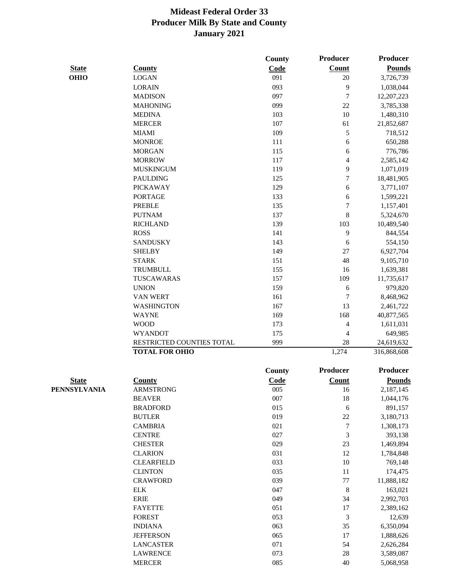|              |                           | County | Producer         | Producer        |
|--------------|---------------------------|--------|------------------|-----------------|
| <b>State</b> | <b>County</b>             | Code   | Count            | <b>Pounds</b>   |
| <b>OHIO</b>  | <b>LOGAN</b>              | 091    | $20\,$           | 3,726,739       |
|              | <b>LORAIN</b>             | 093    | 9                | 1,038,044       |
|              | <b>MADISON</b>            | 097    | $\tau$           | 12,207,223      |
|              | <b>MAHONING</b>           | 099    | $22\,$           | 3,785,338       |
|              | <b>MEDINA</b>             | 103    | $10\,$           | 1,480,310       |
|              | <b>MERCER</b>             | 107    | 61               | 21,852,687      |
|              | <b>MIAMI</b>              | 109    | 5                | 718,512         |
|              | <b>MONROE</b>             | 111    | 6                | 650,288         |
|              | <b>MORGAN</b>             | 115    | 6                | 776,786         |
|              | <b>MORROW</b>             | 117    | $\overline{4}$   | 2,585,142       |
|              | <b>MUSKINGUM</b>          | 119    | 9                | 1,071,019       |
|              | <b>PAULDING</b>           | 125    | $\tau$           | 18,481,905      |
|              | <b>PICKAWAY</b>           | 129    | 6                | 3,771,107       |
|              | <b>PORTAGE</b>            | 133    | 6                | 1,599,221       |
|              | <b>PREBLE</b>             | 135    | $\tau$           | 1,157,401       |
|              | <b>PUTNAM</b>             | 137    | 8                | 5,324,670       |
|              | <b>RICHLAND</b>           | 139    | 103              | 10,489,540      |
|              | <b>ROSS</b>               | 141    | $\mathbf{9}$     | 844,554         |
|              | <b>SANDUSKY</b>           | 143    | $\sqrt{6}$       | 554,150         |
|              | <b>SHELBY</b>             | 149    | 27               | 6,927,704       |
|              | <b>STARK</b>              | 151    | 48               | 9,105,710       |
|              | <b>TRUMBULL</b>           | 155    | 16               | 1,639,381       |
|              | TUSCAWARAS                | 157    | 109              | 11,735,617      |
|              | <b>UNION</b>              | 159    | $\sqrt{6}$       | 979,820         |
|              | <b>VAN WERT</b>           | 161    | $\tau$           | 8,468,962       |
|              | <b>WASHINGTON</b>         | 167    | 13               | 2,461,722       |
|              | <b>WAYNE</b>              | 169    | 168              | 40,877,565      |
|              | <b>WOOD</b>               | 173    | $\overline{4}$   | 1,611,031       |
|              | <b>WYANDOT</b>            | 175    | $\overline{4}$   | 649,985         |
|              | RESTRICTED COUNTIES TOTAL | 999    | 28               | 24,619,632      |
|              | <b>TOTAL FOR OHIO</b>     |        | 1,274            | 316,868,608     |
|              |                           | County | Producer         | <b>Producer</b> |
| <b>State</b> | <b>County</b>             | Code   | Count            | <b>Pounds</b>   |
| PENNSYLVANIA | ARMSTRONG                 | 005    | 16               | 2,187,145       |
|              | <b>BEAVER</b>             | 007    | $18\,$           | 1,044,176       |
|              | <b>BRADFORD</b>           | 015    | $\sqrt{6}$       | 891,157         |
|              | <b>BUTLER</b>             | 019    | 22               | 3,180,713       |
|              | <b>CAMBRIA</b>            | 021    | $\boldsymbol{7}$ | 1,308,173       |
|              | <b>CENTRE</b>             | 027    | $\mathfrak{Z}$   | 393,138         |
|              | <b>CHESTER</b>            | 029    | 23               | 1,469,894       |
|              | <b>CLARION</b>            | 031    | 12               | 1,784,848       |
|              | <b>CLEARFIELD</b>         | 033    | $10\,$           | 769,148         |
|              | <b>CLINTON</b>            | 035    | 11               | 174,475         |
|              | <b>CRAWFORD</b>           | 039    | $77 \,$          | 11,888,182      |
|              | <b>ELK</b>                | 047    | $\,8\,$          | 163,021         |
|              | <b>ERIE</b>               | 049    | 34               | 2,992,703       |
|              | <b>FAYETTE</b>            | 051    | 17               | 2,389,162       |
|              | <b>FOREST</b>             | 053    | $\mathfrak{Z}$   | 12,639          |
|              | <b>INDIANA</b>            | 063    | 35               | 6,350,094       |
|              | <b>JEFFERSON</b>          | 065    | 17               | 1,888,626       |
|              | <b>LANCASTER</b>          | 071    | 54               | 2,626,284       |
|              | <b>LAWRENCE</b>           | 073    | $28\,$           | 3,589,087       |
|              | <b>MERCER</b>             | 085    | 40               | 5,068,958       |